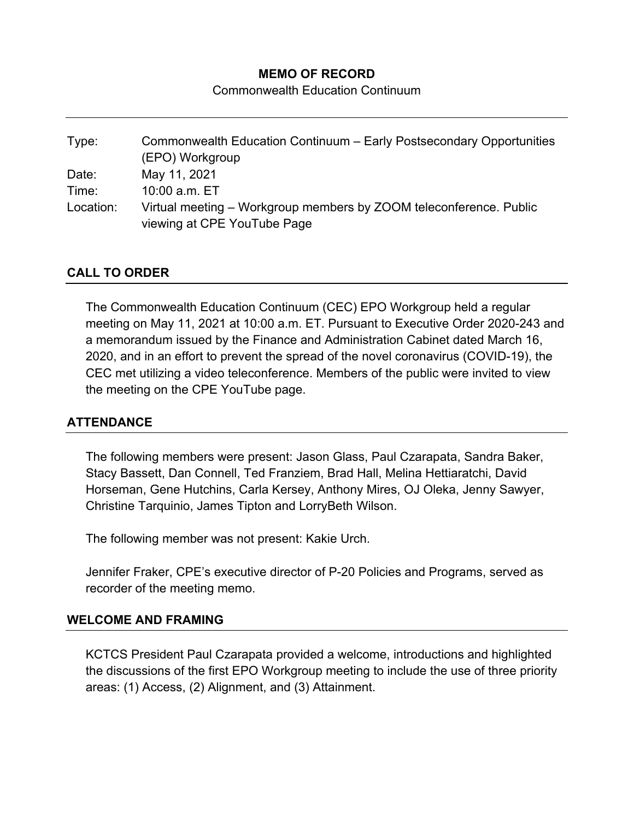# **MEMO OF RECORD**

Commonwealth Education Continuum

| Type:     | Commonwealth Education Continuum - Early Postsecondary Opportunities<br>(EPO) Workgroup |
|-----------|-----------------------------------------------------------------------------------------|
|           |                                                                                         |
| Date:     | May 11, 2021                                                                            |
| Time:     | 10:00 a.m. ET                                                                           |
| Location: | Virtual meeting – Workgroup members by ZOOM teleconference. Public                      |
|           | viewing at CPE YouTube Page                                                             |

# **CALL TO ORDER**

The Commonwealth Education Continuum (CEC) EPO Workgroup held a regular meeting on May 11, 2021 at 10:00 a.m. ET. Pursuant to Executive Order 2020-243 and a memorandum issued by the Finance and Administration Cabinet dated March 16, 2020, and in an effort to prevent the spread of the novel coronavirus (COVID-19), the CEC met utilizing a video teleconference. Members of the public were invited to view the meeting on the CPE YouTube page.

### **ATTENDANCE**

The following members were present: Jason Glass, Paul Czarapata, Sandra Baker, Stacy Bassett, Dan Connell, Ted Franziem, Brad Hall, Melina Hettiaratchi, David Horseman, Gene Hutchins, Carla Kersey, Anthony Mires, OJ Oleka, Jenny Sawyer, Christine Tarquinio, James Tipton and LorryBeth Wilson.

The following member was not present: Kakie Urch.

Jennifer Fraker, CPE's executive director of P-20 Policies and Programs, served as recorder of the meeting memo.

### **WELCOME AND FRAMING**

KCTCS President Paul Czarapata provided a welcome, introductions and highlighted the discussions of the first EPO Workgroup meeting to include the use of three priority areas: (1) Access, (2) Alignment, and (3) Attainment.